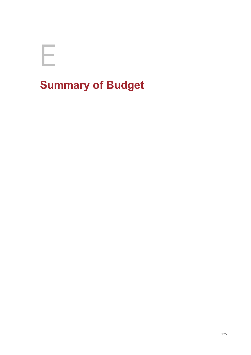

## **Summary of Budget**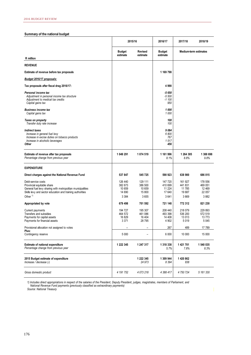## **Summary of the national budget**

|                                                                                                                                                                             | 2015/16                                 |                                        | 2016/17                                 | 2017/18                              | 2018/19                                 |
|-----------------------------------------------------------------------------------------------------------------------------------------------------------------------------|-----------------------------------------|----------------------------------------|-----------------------------------------|--------------------------------------|-----------------------------------------|
|                                                                                                                                                                             | <b>Budget</b><br>estimate               | <b>Revised</b><br>estimate             | <b>Budget</b><br>estimate               | <b>Medium-term estimates</b>         |                                         |
| R million                                                                                                                                                                   |                                         |                                        |                                         |                                      |                                         |
| <b>REVENUE</b>                                                                                                                                                              |                                         |                                        |                                         |                                      |                                         |
| Estimate of revenue before tax proposals                                                                                                                                    |                                         |                                        | 1 169 798                               |                                      |                                         |
| Budget 2016/17 proposals:                                                                                                                                                   |                                         |                                        |                                         |                                      |                                         |
| Tax proposals after fiscal drag 2016/17:                                                                                                                                    |                                         |                                        | 4990                                    |                                      |                                         |
| Personal income tax<br>Adjustment in personal income tax structure<br>Adjustment to medical tax credits<br>Capital gains tax                                                |                                         |                                        | $-5650$<br>$-5500$<br>$-1100$<br>950    |                                      |                                         |
| <b>Business income tax</b><br>Capital gains tax                                                                                                                             |                                         |                                        | 1000<br>1 000                           |                                      |                                         |
| Taxes on property<br>Transfer duty rate increase                                                                                                                            |                                         |                                        | 100<br>100                              |                                      |                                         |
| <b>Indirect taxes</b><br>Increase in general fuel levy<br>Increase in excise duties on tobacco products<br>Increase in alcoholic beverages<br><b>Other</b>                  |                                         |                                        | 9084<br>6800<br>767<br>1517<br>456      |                                      |                                         |
| Estimate of revenue after tax proposals<br>Percentage change from previous year                                                                                             | 1 049 291                               | 1 074 519                              | 1 161 996<br>8.1%                       | 1 264 305<br>8.8%                    | 1 388 698<br>9.8%                       |
| <b>EXPENDITURE</b>                                                                                                                                                          |                                         |                                        |                                         |                                      |                                         |
| Direct charges against the National Revenue Fund                                                                                                                            | 537 847                                 | 545 725                                | 590 923                                 | 638 900                              | 686 015                                 |
| Debt-service costs<br>Provincial equitable share<br>General fuel levy sharing with metropolitan municipalities<br>Skills levy and sector education and training authorities | 126 440<br>382 673<br>10 659<br>14 690  | 129 111<br>386 500<br>10 659<br>15 800 | 147 720<br>410 699<br>11 2 24<br>17 640 | 161 927<br>441831<br>11 785<br>19687 | 178 556<br>469 051<br>12 4 69<br>22 057 |
| Other $1$                                                                                                                                                                   | 3 3 8 4                                 | 3655                                   | 3641                                    | 3669                                 | 3882                                    |
| Appropriated by vote                                                                                                                                                        | 679 498                                 | 701 592                                | 721 148                                 | 772 312                              | 821 230                                 |
| Current payments<br><b>Transfers and subsidies</b><br>Payments for capital assets<br>Payments for financial assets                                                          | 194 727<br>464 572<br>16 829<br>3 3 7 1 | 195 307<br>461 086<br>16 404<br>28 795 | 208 440<br>493 398<br>14 408<br>4 9 0 2 | 218 079<br>536 200<br>13 013<br>5019 | 229 893<br>572 519<br>13 773<br>5 0 4 5 |
| Provisional allocation not assigned to votes                                                                                                                                | $\overline{\phantom{a}}$                | $\overline{\phantom{0}}$               | 267                                     | 489                                  | 17789                                   |
| Plus:<br>Contingency reserve                                                                                                                                                | 5 0 0 0                                 | -                                      | 6 000                                   | 10 000                               | 15 000                                  |
| <b>Estimate of national expenditure</b><br>Percentage change from previous year                                                                                             | 1 222 345                               | 1 247 317                              | 1 318 338<br>5.7%                       | 1 421 701<br>7.8%                    | 1 540 035<br>8.3%                       |
| 2015 Budget estimate of expenditure<br>Increase / decrease (-)                                                                                                              |                                         | 1 222 345<br>24 973                    | 1 309 944<br>8 3 9 4                    | 1 420 862<br>838                     |                                         |
| Gross domestic product                                                                                                                                                      | 4 191 752                               | 4 073 218                              | 4 388 417                               | 4 750 724                            | 5 161 330                               |

*1) Includes direct appropriations in respect of the salaries of the President, Deputy President, judges, magistrates, members of Parliament, and National Revenue Fund payments (previously classified as extraordinary payments)*

*Source: National Treasury*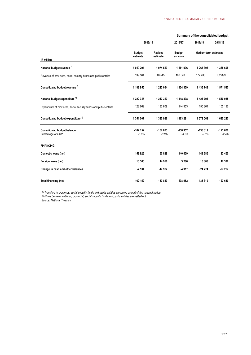|                                                                     | 2015/16                   |                            | 2016/17                   | 2017/18                      | 2018/19              |
|---------------------------------------------------------------------|---------------------------|----------------------------|---------------------------|------------------------------|----------------------|
| R million                                                           | <b>Budget</b><br>estimate | <b>Revised</b><br>estimate | <b>Budget</b><br>estimate | <b>Medium-term estimates</b> |                      |
| National budget revenue <sup>1)</sup>                               | 1 049 291                 | 1 074 519                  | 1 161 996                 | 1 264 305                    | 1 388 698            |
| Revenue of provinces, social security funds and public entities     | 139 564                   | 148 545                    | 162 343                   | 172 438                      | 182 899              |
| Consolidated budget revenue <sup>2)</sup>                           | 1 188 855                 | 1 223 064                  | 1 324 339                 | 1 436 743                    | 1 571 597            |
| National budget expenditure <sup>1)</sup>                           | 1 222 345                 | 1 247 317                  | 1 318 338                 | 1 421 701                    | 1 540 035            |
| Expenditure of provinces, social security funds and public entities | 128 662                   | 133 609                    | 144 953                   | 150 361                      | 155 192              |
| Consolidated budget expenditure <sup>2)</sup>                       | 1 351 007                 | 1 380 926                  | 1 463 291                 | 1 572 062                    | 1 695 227            |
| <b>Consolidated budget balance</b><br>Percentage of GDP             | $-162$ 152<br>$-3.9%$     | $-157863$<br>$-3.9%$       | -138 952<br>$-3.2%$       | $-135319$<br>$-2.8%$         | $-123630$<br>$-2.4%$ |
| <b>FINANCING</b>                                                    |                           |                            |                           |                              |                      |
| Domestic loans (net)                                                | 158 926                   | 160 829                    | 140 609                   | 143 285                      | 133 465              |
| Foreign loans (net)                                                 | 10 360                    | 14 956                     | 3 2 6 0                   | 16 808                       | 17 392               |
| Change in cash and other balances                                   | $-7134$                   | $-17922$                   | -4917                     | $-24774$                     | $-27227$             |
| Total financing (net)                                               | 162 152                   | 157 863                    | 138 952                   | 135 319                      | 123 630              |

## **Summary of the consolidated budget**

*1) Transfers to provinces, social security funds and public entities presented as part of the national budget*

*2) Flows between national, provincial, social security funds and public entities are netted out*

*Source: National Treasury*